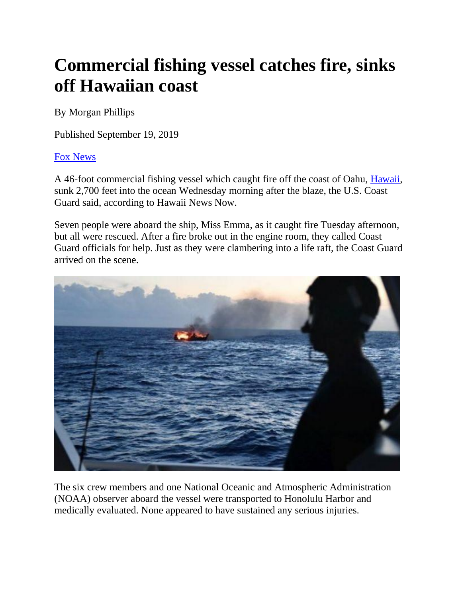## **Commercial fishing vessel catches fire, sinks off Hawaiian coast**

By Morgan Phillips

Published September 19, 2019

## [Fox News](http://www.foxnews.com/)

A 46-foot commercial fishing vessel which caught fire off the coast of Oahu, [Hawaii,](https://www.foxnews.com/category/us/us-regions/west/hawaii) sunk 2,700 feet into the ocean Wednesday morning after the blaze, the U.S. Coast Guard said, according to Hawaii News Now.

Seven people were aboard the ship, Miss Emma, as it caught fire Tuesday afternoon, but all were rescued. After a fire broke out in the engine room, they called Coast Guard officials for help. Just as they were clambering into a life raft, the Coast Guard arrived on the scene.



The six crew members and one National Oceanic and Atmospheric Administration (NOAA) observer aboard the vessel were transported to Honolulu Harbor and medically evaluated. None appeared to have sustained any serious injuries.